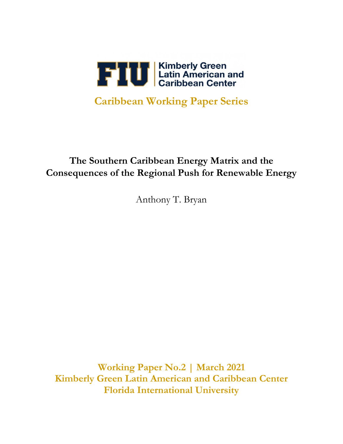

# **Caribbean Working Paper Series**

## **The Southern Caribbean Energy Matrix and the Consequences of the Regional Push for Renewable Energy**

Anthony T. Bryan

**Working Paper No.2 | March 2021 Kimberly Green Latin American and Caribbean Center Florida International University**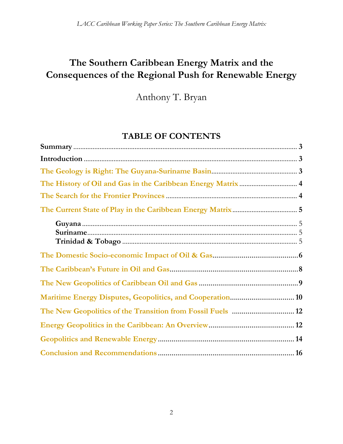## **The Southern Caribbean Energy Matrix and the Consequences of the Regional Push for Renewable Energy**

Anthony T. Bryan

## **TABLE OF CONTENTS**

| Maritime Energy Disputes, Geopolitics, and Cooperation 10   |  |
|-------------------------------------------------------------|--|
| The New Geopolitics of the Transition from Fossil Fuels  12 |  |
|                                                             |  |
|                                                             |  |
|                                                             |  |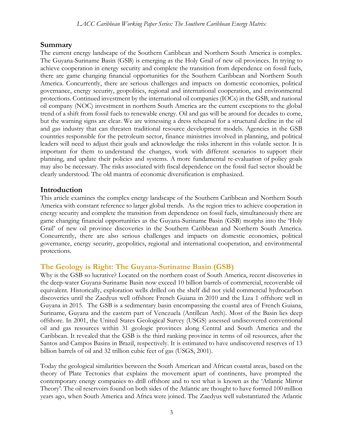## **Summary**

The current energy landscape of the Southern Caribbean and Northern South America is complex. The Guyana-Suriname Basin (GSB) is emerging as the Holy Grail of new oil provinces. In trying to achieve cooperation in energy security and complete the transition from dependence on fossil fuels, there are game changing financial opportunities for the Southern Caribbean and Northern South America. Concurrently, there are serious challenges and impacts on domestic economies, political governance, energy security, geopolitics, regional and international cooperation, and environmental protections. Continued investment by the international oil companies (IOCs) in the GSB, and national oil company (NOC) investment in northern South America are the current exceptions to the global trend of a shift from fossil fuels to renewable energy. Oil and gas will be around for decades to come, but the warning signs are clear. We are witnessing a dress rehearsal for a structural decline in the oil and gas industry that can threaten traditional resource development models. Agencies in the GSB countries responsible for the petroleum sector, finance ministries involved in planning, and political leaders will need to adjust their goals and acknowledge the risks inherent in this volatile sector. It is important for them to understand the changes, work with different scenarios to support their planning, and update their policies and systems. A more fundamental re-evaluation of policy goals may also be necessary. The risks associated with fiscal dependence on the fossil fuel sector should be clearly understood. The old mantra of economic diversification is emphasized.

## **Introduction**

This article examines the complex energy landscape of the Southern Caribbean and Northern South America with constant reference to larger global trends. As the region tries to achieve cooperation in energy security and complete the transition from dependence on fossil fuels, simultaneously there are game changing financial opportunities as the Guyana-Suriname Basin (GSB) morphs into the 'Holy Grail' of new oil province discoveries in the Southern Caribbean and Northern South America. Concurrently, there are also serious challenges and impacts on domestic economies, political governance, energy security, geopolitics, regional and international cooperation, and environmental protections.

## **The Geology is Right: The Guyana-Suriname Basin (GSB)**

Why is the GSB so lucrative? Located on the northern coast of South America, recent discoveries in the deep-water Guyana-Suriname Basin now exceed 10 billion barrels of commercial, recoverable oil equivalent. Historically, exploration wells drilled on the shelf did not yield commercial hydrocarbon discoveries until the Zaedyus well offshore French Guiana in 2010 and the Liza 1 offshore well in Guyana in 2015. The GSB is a sedimentary basin encompassing the coastal area of French Guiana, Suriname, Guyana and the eastern part of Venezuela (Antillean Arch). Most of the Basin lies deep offshore. In 2001, the United States Geological Survey (USGS) assessed undiscovered conventional oil and gas resources within 31 geologic provinces along Central and South America and the Caribbean. It revealed that the GSB is the third ranking province in terms of oil resources, after the Santos and Campos Basins in Brazil, respectively. It is estimated to have undiscovered reserves of 13 billion barrels of oil and 32 trillion cubic feet of gas (USGS, 2001).

Today the geological similarities between the South American and African coastal areas, based on the theory of Plate Tectonics that explains the movement apart of continents, have prompted the contemporary energy companies to drill offshore and to test what is known as the 'Atlantic Mirror Theory'. The oil reservoirs found on both sides of the Atlantic are thought to have formed 100 million years ago, when South America and Africa were joined. The Zaedyus well substantiated the Atlantic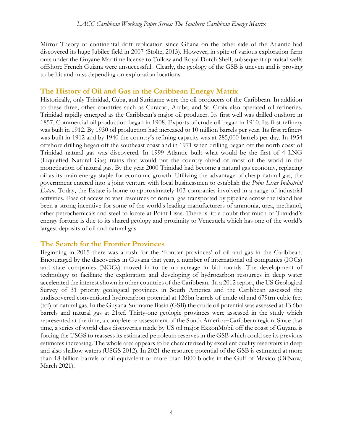Mirror Theory of continental drift replication since Ghana on the other side of the Atlantic had discovered its huge Jubilee field in 2007 (Stolte, 2013). However, in spite of various exploration farm outs under the Guyane Maritime license to Tullow and Royal Dutch Shell, subsequent appraisal wells offshore French Guiana were unsuccessful. Clearly, the geology of the GSB is uneven and is proving to be hit and miss depending on exploration locations.

## **The History of Oil and Gas in the Caribbean Energy Matrix**

Historically, only Trinidad, Cuba, and Suriname were the oil producers of the Caribbean. In addition to these three, other countries such as Curacao, Aruba, and St. Croix also operated oil refineries. Trinidad rapidly emerged as the Caribbean's major oil producer. Its first well was drilled onshore in 1857. Commercial oil production began in 1908. Exports of crude oil began in 1910. Its first refinery was built in 1912. By 1930 oil production had increased to 10 million barrels per year. Its first refinery was built in 1912 and by 1940 the country's refining capacity was at 285,000 barrels per day. In 1954 offshore drilling began off the southeast coast and in 1971 when drilling began off the north coast of Trinidad natural gas was discovered. In 1999 Atlantic built what would be the first of 4 LNG (Liquiefied Natural Gas) trains that would put the country ahead of most of the world in the monetization of natural gas. By the year 2000 Trinidad had become a natural gas economy, replacing oil as its main energy staple for economic growth. Utilizing the advantage of cheap natural gas, the government entered into a joint venture with local businessmen to establish the *Point Lisas Industrial Estate*. Today, the Estate is home to approximately 103 companies involved in a range of industrial activities. Ease of access to vast resources of natural gas transported by pipeline across the island has been a strong incentive for some of the world's leading manufacturers of ammonia, urea, methanol, other petrochemicals and steel to locate at Point Lisas. There is little doubt that much of Trinidad's energy fortune is due to its shared geology and proximity to Venezuela which has one of the world's largest deposits of oil and natural gas.

### **The Search for the Frontier Provinces**

Beginning in 2015 there was a rush for the 'frontier provinces' of oil and gas in the Caribbean. Encouraged by the discoveries in Guyana that year, a number of international oil companies (IOCs) and state companies (NOCs) moved in to tie up acreage in bid rounds. The development of technology to facilitate the exploration and developing of hydrocarbon resources in deep water accelerated the interest shown in other countries of the Caribbean. In a 2012 report, the US Geological Survey of 31 priority geological provinces in South America and the Caribbean assessed the undiscovered conventional hydrocarbon potential at 126bn barrels of crude oil and 679trn cubic feet (tcf) of natural gas. In the Guyana-Suriname Basin (GSB) the crude oil potential was assessed at 13.6bn barrels and natural gas at 21tcf. Thirty-one geologic provinces were assessed in the study which represented at the time, a complete re-assessment of the South America−Caribbean region. Since that time, a series of world class discoveries made by US oil major ExxonMobil off the coast of Guyana is forcing the USGS to reassess its estimated petroleum reserves in the GSB which could see its previous estimates increasing. The whole area appears to be characterized by excellent quality reservoirs in deep and also shallow waters (USGS 2012). In 2021 the resource potential of the GSB is estimated at more than 18 billion barrels of oil equivalent or more than 1000 blocks in the Gulf of Mexico (OilNow, March 2021).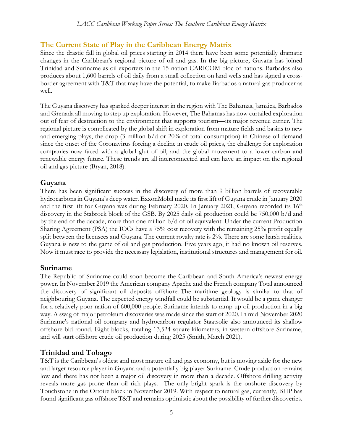## **The Current State of Play in the Caribbean Energy Matrix**

Since the drastic fall in global oil prices starting in 2014 there have been some potentially dramatic changes in the Caribbean's regional picture of oil and gas. In the big picture, Guyana has joined Trinidad and Suriname as oil exporters in the 15-nation CARICOM bloc of nations. Barbados also produces about 1,600 barrels of oil daily from a small collection on land wells and has signed a crossborder agreement with T&T that may have the potential, to make Barbados a natural gas producer as well.

The Guyana discovery has sparked deeper interest in the region with The Bahamas, Jamaica, Barbados and Grenada all moving to step up exploration. However, The Bahamas has now curtailed exploration out of fear of destruction to the environment that supports tourism—its major revenue earner. The regional picture is complicated by the global shift in exploration from mature fields and basins to new and emerging plays, the drop (3 million b/d or 20% of total consumption) in Chinese oil demand since the onset of the Coronavirus forcing a decline in crude oil prices, the challenge for exploration companies now faced with a global glut of oil, and the global movement to a lower-carbon and renewable energy future. These trends are all interconnected and can have an impact on the regional oil and gas picture (Bryan, 2018).

## **Guyana**

There has been significant success in the discovery of more than 9 billion barrels of recoverable hydrocarbons in Guyana's deep water. ExxonMobil made its first lift of Guyana crude in January 2020 and the first lift for Guyana was during February 2020. In January 2021, Guyana recorded its 16<sup>th</sup> discovery in the Stabroek block of the GSB. By 2025 daily oil production could be 750,000 b/d and by the end of the decade, more than one million b/d of oil equivalent. Under the current Production Sharing Agreement (PSA) the IOCs have a 75% cost recovery with the remaining 25% profit equally split between the licensees and Guyana. The current royalty rate is 2%. There are some harsh realities. Guyana is new to the game of oil and gas production. Five years ago, it had no known oil reserves. Now it must race to provide the necessary legislation, institutional structures and management for oil.

## **Suriname**

The Republic of Suriname could soon become the Caribbean and South America's newest energy power. In November 2019 the American company Apache and the French company Total announced the discovery of significant oil deposits offshore. The maritime geology is similar to that of neighbouring Guyana. The expected energy windfall could be substantial. It would be a game changer for a relatively poor nation of 600,000 people. Suriname intends to ramp up oil production in a big way. A swag of major petroleum discoveries was made since the start of 2020. In mid-November 2020 Suriname's national oil company and hydrocarbon regulator Staatsolie also announced its shallow offshore bid round. Eight blocks, totaling 13,524 square kilometers, in western offshore Suriname, and will start offshore crude oil production during 2025 (Smith, March 2021).

## **Trinidad and Tobago**

T&T is the Caribbean's oldest and most mature oil and gas economy, but is moving aside for the new and larger resource player in Guyana and a potentially big player Suriname. Crude production remains low and there has not been a major oil discovery in more than a decade. Offshore drilling activity reveals more gas prone than oil rich plays. The only bright spark is the onshore discovery by Touchstone in the Ortoire block in November 2019. With respect to natural gas, currently, BHP has found significant gas offshore T&T and remains optimistic about the possibility of further discoveries.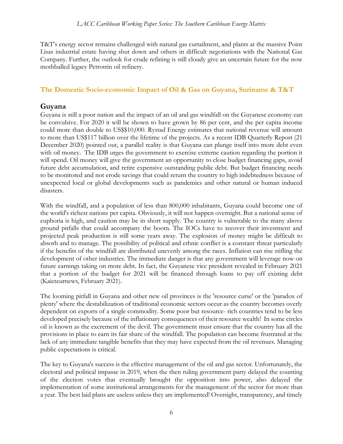T&T's energy sector remains challenged with natural gas curtailment, and plants at the massive Point Lisas industrial estate having shut down and others in difficult negotiations with the National Gas Company. Further, the outlook for crude refining is still cloudy give an uncertain future for the now mothballed legacy Petrotrin oil refinery.

## **The Domestic Socio-economic Impact of Oil & Gas on Guyana, Suriname & T&T**

## **Guyana**

Guyana is still a poor nation and the impact of an oil and gas windfall on the Guyanese economy can be convulsive. For 2020 it will be shown to have grown by 86 per cent, and the per capita income could more than double to US\$\$10,000. Rystad Energy estimates that national revenue will amount to more than US\$117 billion over the lifetime of the projects. As a recent IDB Quarterly Report (21 December 2020) pointed out, a parallel reality is that Guyana can plunge itself into more debt even with oil money. The IDB urges the government to exercise extreme caution regarding the portion it will spend. Oil money will give the government an opportunity to close budget financing gaps, avoid future debt accumulation, and retire expensive outstanding public debt. But budget financing needs to be monitored and not erode savings that could return the country to high indebtedness because of unexpected local or global developments such as pandemics and other natural or human induced disasters.

With the windfall, and a population of less than 800,000 inhabitants, Guyana could become one of the world's richest nations per capita. Obviously, it will not happen overnight. But a national sense of euphoria is high, and caution may be in short supply. The country is vulnerable to the many above ground pitfalls that could accompany the boom. The IOCs have to recover their investment and projected peak production is still some years away. The explosion of money might be difficult to absorb and to manage. The possibility of political and ethnic conflict is a constant threat particularly if the benefits of the windfall are distributed unevenly among the races. Inflation can rise stifling the development of other industries. The immediate danger is that any government will leverage now on future earnings taking on more debt. In fact, the Guyanese vice president revealed in February 2021 that a portion of the budget for 2021 will be financed through loans to pay off existing debt (Kaieteurnews, February 2021).

The looming pitfall in Guyana and other new oil provinces is the 'resource curse' or the 'paradox of plenty' where the destabilization of traditional economic sectors occur as the country becomes overly dependent on exports of a single commodity. Some poor but resource- rich countries tend to be less developed precisely because of the inflationary consequences of their resource wealth! In some circles oil is known as the excrement of the devil. The government must ensure that the country has all the provisions in place to earn its fair share of the windfall. The population can become frustrated at the lack of any immediate tangible benefits that they may have expected from the oil revenues. Managing public expectations is critical.

The key to Guyana's success is the effective management of the oil and gas sector. Unfortunately, the electoral and political impasse in 2019, when the then ruling government party delayed the counting of the election votes that eventually brought the opposition into power, also delayed the implementation of some institutional arrangements for the management of the sector for more than a year. The best laid plans are useless unless they are implemented! Oversight, transparency, and timely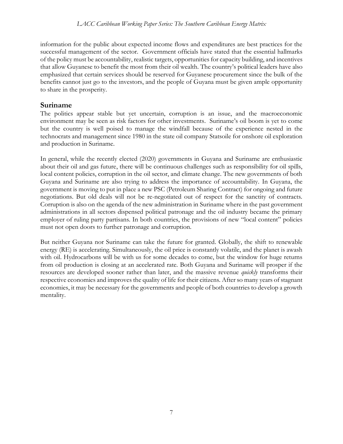information for the public about expected income flows and expenditures are best practices for the successful management of the sector. Government officials have stated that the essential hallmarks of the policy must be accountability, realistic targets, opportunities for capacity building, and incentives that allow Guyanese to benefit the most from their oil wealth. The country's political leaders have also emphasized that certain services should be reserved for Guyanese procurement since the bulk of the benefits cannot just go to the investors, and the people of Guyana must be given ample opportunity to share in the prosperity.

## **Suriname**

The politics appear stable but yet uncertain, corruption is an issue, and the macroeconomic environment may be seen as risk factors for other investments. Suriname's oil boom is yet to come but the country is well poised to manage the windfall because of the experience nested in the technocrats and management since 1980 in the state oil company Statsoile for onshore oil exploration and production in Suriname.

In general, while the recently elected (2020) governments in Guyana and Suriname are enthusiastic about their oil and gas future, there will be continuous challenges such as responsibility for oil spills, local content policies, corruption in the oil sector, and climate change. The new governments of both Guyana and Suriname are also trying to address the importance of accountability. In Guyana, the government is moving to put in place a new PSC (Petroleum Sharing Contract) for ongoing and future negotiations. But old deals will not be re-negotiated out of respect for the sanctity of contracts. Corruption is also on the agenda of the new administration in Suriname where in the past government administrations in all sectors dispensed political patronage and the oil industry became the primary employer of ruling party partisans. In both countries, the provisions of new "local content" policies must not open doors to further patronage and corruption.

But neither Guyana nor Suriname can take the future for granted. Globally, the shift to renewable energy (RE) is accelerating. Simultaneously, the oil price is constantly volatile, and the planet is awash with oil. Hydrocarbons will be with us for some decades to come, but the window for huge returns from oil production is closing at an accelerated rate. Both Guyana and Suriname will prosper if the resources are developed sooner rather than later, and the massive revenue *quickly* transforms their respective economies and improves the quality of life for their citizens. After so many years of stagnant economies, it may be necessary for the governments and people of both countries to develop a growth mentality.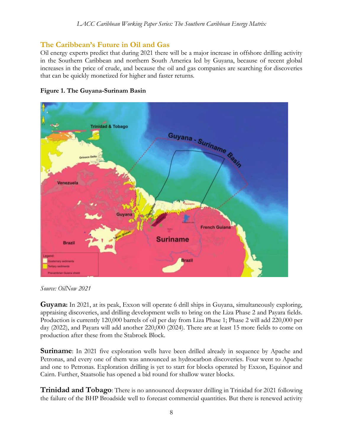## **The Caribbean's Future in Oil and Gas**

Oil energy experts predict that during 2021 there will be a major increase in offshore drilling activity in the Southern Caribbean and northern South America led by Guyana, because of recent global increases in the price of crude, and because the oil and gas companies are searching for discoveries that can be quickly monetized for higher and faster returns.





*Source: OilNow 2021*

**Guyana:** In 2021, at its peak, Exxon will operate 6 drill ships in Guyana, simultaneously exploring, appraising discoveries, and drilling development wells to bring on the Liza Phase 2 and Payara fields. Production is currently 120,000 barrels of oil per day from Liza Phase 1; Phase 2 will add 220,000 per day (2022), and Payara will add another 220,000 (2024). There are at least 15 more fields to come on production after these from the Stabroek Block.

**Suriname**: In 2021 five exploration wells have been drilled already in sequence by Apache and Petronas, and every one of them was announced as hydrocarbon discoveries. Four went to Apache and one to Petronas. Exploration drilling is yet to start for blocks operated by Exxon, Equinor and Cairn. Further, Staatsolie has opened a bid round for shallow water blocks.

**Trinidad and Tobago**: There is no announced deepwater drilling in Trinidad for 2021 following the failure of the BHP Broadside well to forecast commercial quantities. But there is renewed activity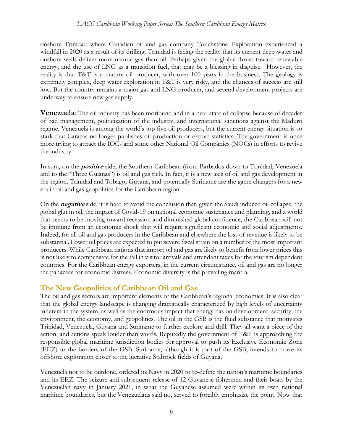onshore Trinidad where Canadian oil and gas company Touchstone Exploration experienced a windfall in 2020 as a result of its drilling. Trinidad is facing the reality that its current deep-water and onshore wells deliver more natural gas than oil. Perhaps given the global thrust toward renewable energy, and the use of LNG as a transition fuel, that may be a blessing in disguise. However, the reality is that T&T is a mature oil producer, with over 100 years in the business. The geology is extremely complex, deep water exploration in T&T is very risky, and the chances of success are still low. But the country remains a major gas and LNG producer, and several development projects are underway to ensure new gas supply.

**Venezuela**: The oil industry has been moribund and in a near state of collapse because of decades of bad management, politicization of the industry, and international sanctions against the Maduro regime. Venezuela is among the world's top five oil producers, but the current energy situation is so stark that Caracas no longer publishes oil production or export statistics. The government is once more trying to attract the IOCs and some other National Oil Companies (NOCs) in efforts to revive the industry.

In sum, on the **positive** side, the Southern Caribbean (from Barbados down to Trinidad, Venezuela and to the "Three Guianas") is oil and gas rich. In fact, it is a new axis of oil and gas development in the region. Trinidad and Tobago, Guyana, and potentially Suriname are the game changers for a new era in oil and gas geopolitics for the Caribbean region.

On the **negative** side, it is hard to avoid the conclusion that, given the Saudi induced oil collapse, the global glut in oil, the impact of Covid-19 on national economic sustenance and planning, and a world that seems to be moving toward recession and diminished global confidence, the Caribbean will not be immune from an economic shock that will require significant economic and social adjustments. Indeed, for all oil and gas producers in the Caribbean and elsewhere the loss of revenue is likely to be substantial. Lower oil prices are expected to put severe fiscal strain on a number of the most important producers. While Caribbean nations that import oil and gas are likely to benefit from lower prices this is not likely to compensate for the fall in visitor arrivals and attendant taxes for the tourism dependent countries. For the Caribbean energy exporters, in the current circumstance, oil and gas are no longer the panaceas for economic distress. Economic diversity is the prevailing mantra.

## **The New Geopolitics of Caribbean Oil and Gas**

The oil and gas sectors are important elements of the Caribbean's regional economies. It is also clear that the global energy landscape is changing dramatically characterized by high levels of uncertainty inherent in the system, as well as the enormous impact that energy has on development, security, the environment, the economy, and geopolitics. The oil in the GSB is the fluid substance that motivates Trinidad, Venezuela, Guyana and Suriname to further explore and drill. They all want a piece of the action, and actions speak louder than words. Reputedly the government of T&T is approaching the responsible global maritime jurisdiction bodies for approval to push its Exclusive Economic Zone (EEZ) to the borders of the GSB. Suriname, although it is part of the GSB, intends to move its offshore exploration closer to the lucrative Stabroek fields of Guyana.

Venezuela not to be outdone, ordered its Navy in 2020 to re-define the nation's maritime boundaries and its EEZ. The seizure and subsequent release of 12 Guyanese fishermen and their boats by the Venezuelan navy in January 2021, in what the Guyanese assumed were within its own national maritime boundaries, but the Venezuelans said no, served to forcibly emphasize the point. Now that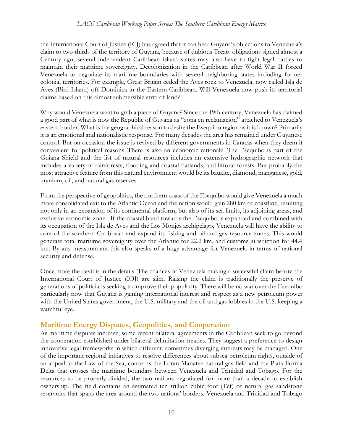the International Court of Justice (ICJ) has agreed that it can hear Guyana's objections to Venezuela's claim to two-thirds of the territory of Guyana, because of dubious Treaty obligations signed almost a Century ago, several independent Caribbean island states may also have to fight legal battles to maintain their maritime sovereignty. Decolonization in the Caribbean after World War II forced Venezuela to negotiate its maritime boundaries with several neighboring states including former colonial territories. For example, Great Britain ceded the Aves rock to Venezuela, now called Isla de Aves (Bird Island) off Dominica in the Eastern Caribbean. Will Venezuela now push its territorial claims based on this almost submersible strip of land?

Why would Venezuela want to grab a piece of Guyana? Since the 19th century, Venezuela has claimed a good part of what is now the Republic of Guyana as "zona en reclamación" attached to Venezuela's eastern border. What is the geographical reason to desire the Esequibo region as it is known? Primarily it is an emotional and nationalistic response. For many decades the area has remained under Guyanese control. But on occasion the issue is revived by different governments in Caracas when they deem it convenient for political reasons. There is also an economic rationale. The Esequibo is part of the Guiana Shield and the list of natural resources includes an extensive hydrographic network that includes a variety of rainforests, flooding and coastal flatlands, and littoral forests. But probably the most attractive feature from this natural environment would be its bauxite, diamond, manganese, gold, uranium, oil, and natural gas reserves.

From the perspective of geopolitics, the northern coast of the Esequibo would give Venezuela a much more consolidated exit to the Atlantic Ocean and the nation would gain 280 km of coastline, resulting not only in an expansion of its continental platform, but also of its sea limits, its adjoining areas, and exclusive economic zone. If the coastal band towards the Esequibo is expanded and combined with its occupation of the Isla de Aves and the Los Monjes archipelago, Venezuela will have the ability to control the southern Caribbean and expand its fishing and oil and gas resource zones. This would generate total maritime sovereignty over the Atlantic for 22.2 km, and customs jurisdiction for 44.4 km. By any measurement this also speaks of a huge advantage for Venezuela in terms of national security and defense.

Once more the devil is in the details. The chances of Venezuela making a successful claim before the International Court of Justice (IOJ) are slim. Raising the claim is traditionally the preserve of generations of politicians seeking to improve their popularity. There will be no war over the Esequibo particularly now that Guyana is gaining international interest and respect as a new petroleum power with the United States government, the U.S. military and the oil and gas lobbies in the U.S. keeping a watchful eye.

### **Maritime Energy Disputes, Geopolitics, and Cooperation**

As maritime disputes increase, some recent bilateral agreements in the Caribbean seek to go beyond the cooperation established under bilateral delimitation treaties. They suggest a preference to design innovative legal frameworks in which different, sometimes diverging interests may be managed. One of the important regional initiatives to resolve differences about subsea petroleum rights, outside of an appeal to the Law of the Sea, concerns the Loran-Manatee natural gas field and the Plata Forma Delta that crosses the maritime boundary between Venezuela and Trinidad and Tobago. For the resources to be properly divided, the two nations negotiated for more than a decade to establish ownership. The field contains an estimated ten trillion cubic foot (Tcf) of natural gas sandstone reservoirs that spans the area around the two nations' borders. Venezuela and Trinidad and Tobago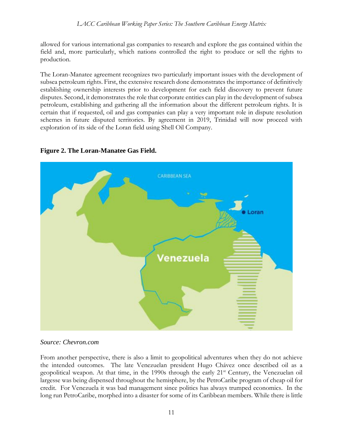allowed for various international gas companies to research and explore the gas contained within the field and, more particularly, which nations controlled the right to produce or sell the rights to production.

The Loran-Manatee agreement recognizes two particularly important issues with the development of subsea petroleum rights. First, the extensive research done demonstrates the importance of definitively establishing ownership interests prior to development for each field discovery to prevent future disputes. Second, it demonstrates the role that corporate entities can play in the development of subsea petroleum, establishing and gathering all the information about the different petroleum rights. It is certain that if requested, oil and gas companies can play a very important role in dispute resolution schemes in future disputed territories. By agreement in 2019, Trinidad will now proceed with exploration of its side of the Loran field using Shell Oil Company.





#### *Source: Chevron.com*

From another perspective, there is also a limit to geopolitical adventures when they do not achieve the intended outcomes. The late Venezuelan president Hugo Chávez once described oil as a geopolitical weapon. At that time, in the 1990s through the early 21<sup>st</sup> Century, the Venezuelan oil largesse was being dispensed throughout the hemisphere, by the PetroCaribe program of cheap oil for credit. For Venezuela it was bad management since politics has always trumped economics. In the long run PetroCaribe, morphed into a disaster for some of its Caribbean members. While there is little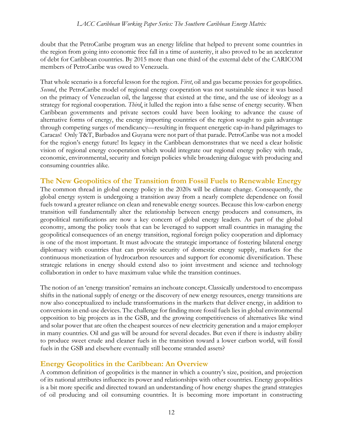doubt that the PetroCaribe program was an energy lifeline that helped to prevent some countries in the region from going into economic free fall in a time of austerity, it also proved to be an accelerator of debt for Caribbean countries. By 2015 more than one third of the external debt of the CARICOM members of PetroCaribe was owed to Venezuela.

That whole scenario is a forceful lesson for the region. *First*, oil and gas became proxies for geopolitics. *Second*, the PetroCaribe model of regional energy cooperation was not sustainable since it was based on the primacy of Venezuelan oil, the largesse that existed at the time, and the use of ideology as a strategy for regional cooperation. *Third*, it lulled the region into a false sense of energy security. When Caribbean governments and private sectors could have been looking to advance the cause of alternative forms of energy, the energy importing countries of the region sought to gain advantage through competing surges of mendicancy—resulting in frequent energetic cap-in-hand pilgrimages to Caracas! Only T&T, Barbados and Guyana were not part of that parade. PetroCaribe was not a model for the region's energy future! Its legacy in the Caribbean demonstrates that we need a clear holistic vision of regional energy cooperation which would integrate our regional energy policy with trade, economic, environmental, security and foreign policies while broadening dialogue with producing and consuming countries alike.

#### **The New Geopolitics of the Transition from Fossil Fuels to Renewable Energy** The common thread in global energy policy in the 2020s will be climate change. Consequently, the global energy system is undergoing a transition away from a nearly complete dependence on fossil fuels toward a greater reliance on clean and renewable energy sources. Because this low-carbon energy transition will fundamentally alter the relationship between energy producers and consumers, its geopolitical ramifications are now a key concern of global energy leaders. As part of the global economy, among the policy tools that can be leveraged to support small countries in managing the geopolitical consequences of an energy transition, regional foreign policy cooperation and diplomacy is one of the most important. It must advocate the strategic importance of fostering bilateral energy diplomacy with countries that can provide security of domestic energy supply, markets for the continuous monetization of hydrocarbon resources and support for economic diversification. These strategic relations in energy should extend also to joint investment and science and technology collaboration in order to have maximum value while the transition continues.

The notion of an 'energy transition' remains an inchoate concept. Classically understood to encompass shifts in the national supply of energy or the discovery of new energy resources, energy transitions are now also conceptualized to include transformations in the markets that deliver energy, in addition to conversions in end-use devices. The challenge for finding more fossil fuels lies in global environmental opposition to big projects as in the GSB, and the growing competitiveness of alternatives like wind and solar power that are often the cheapest sources of new electricity generation and a major employer in many countries. Oil and gas will be around for several decades. But even if there is industry ability to produce sweet crude and cleaner fuels in the transition toward a lower carbon world, will fossil fuels in the GSB and elsewhere eventually still become stranded assets?

## **Energy Geopolitics in the Caribbean: An Overview**

A common definition of geopolitics is the manner in which a country's size, position, and projection of its national attributes influence its power and relationships with other countries. Energy geopolitics is a bit more specific and directed toward an understanding of how energy shapes the grand strategies of oil producing and oil consuming countries. It is becoming more important in constructing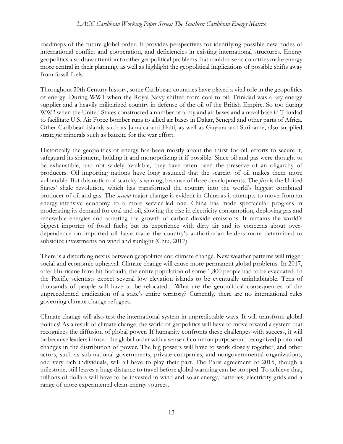roadmaps of the future global order. It provides perspectives for identifying possible new nodes of international conflict and cooperation, and deficiencies in existing international structures. Energy geopolitics also draw attention to other geopolitical problems that could arise as countries make energy more central in their planning, as well as highlight the geopolitical implications of possible shifts away from fossil fuels.

Throughout 20th Century history, some Caribbean countries have played a vital role in the geopolitics of energy. During WW1 when the Royal Navy shifted from coal to oil, Trinidad was a key energy supplier and a heavily militarized country in defense of the oil of the British Empire. So too during WW2 when the United States constructed a number of army and air bases and a naval base in Trinidad to facilitate U.S. Air Force bomber runs to allied air bases in Dakar, Senegal and other parts of Africa. Other Caribbean islands such as Jamaica and Haiti, as well as Guyana and Suriname, also supplied strategic minerals such as bauxite for the war effort.

Historically the geopolitics of energy has been mostly about the thirst for oil, efforts to secure it, safeguard its shipment, holding it and monopolizing it if possible. Since oil and gas were thought to be exhaustible, and not widely available, they have often been the preserve of an oligarchy of producers. Oil importing nations have long assumed that the scarcity of oil makes them more vulnerable. But this notion of scarcity is waning, because of three developments. The *first* is the United States' shale revolution, which has transformed the country into the world's biggest combined producer of oil and gas. The *second* major change is evident in China as it attempts to move from an energy-intensive economy to a more service-led one. China has made spectacular progress in moderating its demand for coal and oil, slowing the rise in electricity consumption, deploying gas and renewable energies and arresting the growth of carbon-dioxide emissions. It remains the world's biggest importer of fossil fuels; but its experience with dirty air and its concerns about overdependence on imported oil have made the country's authoritarian leaders more determined to subsidize investments on wind and sunlight (Chiu, 2017).

There is a disturbing nexus between geopolitics and climate change. New weather patterns will trigger social and economic upheaval. Climate change will cause more permanent global problems. In 2017, after Hurricane Irma hit Barbuda, the entire population of some 1,800 people had to be evacuated. In the Pacific scientists expect several low elevation islands to be eventually uninhabitable. Tens of thousands of people will have to be relocated. What are the geopolitical consequences of the unprecedented eradication of a state's entire territory? Currently, there are no international rules governing climate change refugees.

Climate change will also test the international system in unpredictable ways. It will transform global politics! As a result of climate change, the world of geopolitics will have to move toward a system that recognizes the diffusion of global power. If humanity confronts these challenges with success, it will be because leaders infused the global order with a sense of common purpose and recognized profound changes in the distribution of power. The big powers will have to work closely together, and other actors, such as sub-national governments, private companies, and nongovernmental organizations, and very rich individuals, will all have to play their part. The Paris agreement of 2015, though a milestone, still leaves a huge distance to travel before global warming can be stopped. To achieve that, trillions of dollars will have to be invested in wind and solar energy, batteries, electricity grids and a range of more experimental clean-energy sources.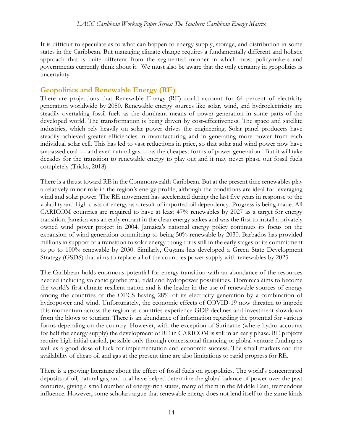It is difficult to speculate as to what can happen to energy supply, storage, and distribution in some states in the Caribbean. But managing climate change requires a fundamentally different and holistic approach that is quite different from the segmented manner in which most policymakers and governments currently think about it. We must also be aware that the only certainty in geopolitics is uncertainty.

## **Geopolitics and Renewable Energy (RE)**

There are projections that Renewable Energy (RE) could account for 64 percent of electricity generation worldwide by 2050. Renewable energy sources like solar, wind, and hydroelectricity are steadily overtaking fossil fuels as the dominant means of power generation in some parts of the developed world. The transformation is being driven by cost-effectiveness. The space and satellite industries, which rely heavily on solar power drives the engineering. Solar panel producers have steadily achieved greater efficiencies in manufacturing and in generating more power from each individual solar cell. This has led to vast reductions in price, so that solar and wind power now have surpassed coal — and even natural gas — as the cheapest forms of power generation. But it will take decades for the transition to renewable energy to play out and it may never phase out fossil fuels completely (Tricks, 2018).

There is a thrust toward RE in the Commonwealth Caribbean. But at the present time renewables play a relatively minor role in the region's energy profile, although the conditions are ideal for leveraging wind and solar power. The RE movement has accelerated during the last five years in response to the volatility and high costs of energy as a result of imported oil dependency. Progress is being made. All CARICOM countries are required to have at least 47% renewables by 2027 as a target for energy transition. Jamaica was an early entrant in the clean energy stakes and was the first to install a privately owned wind power project in 2004. Jamaica's national energy policy continues its focus on the expansion of wind generation committing to being 50% renewable by 2030. Barbados has provided millions in support of a transition to solar energy though it is still in the early stages of its commitment to go to 100% renewable by 2030. Similarly, Guyana has developed a Green State Development Strategy (GSDS) that aims to replace all of the countries power supply with renewables by 2025.

The Caribbean holds enormous potential for energy transition with an abundance of the resources needed including volcanic geothermal, tidal and hydropower possibilities. Dominica aims to become the world's first climate resilient nation and is the leader in the use of renewable sources of energy among the countries of the OECS having 28% of its electricity generation by a combination of hydropower and wind. Unfortunately, the economic effects of COVID-19 now threaten to impede this momentum across the region as countries experience GDP declines and investment slowdown from the blows to tourism. There is an abundance of information regarding the potential for various forms depending on the country. However, with the exception of Suriname (where hydro accounts for half the energy supply) the development of RE in CARICOM is still in an early phase. RE projects require high initial capital, possible only through concessional financing or global venture funding as well as a good dose of luck for implementation and economic success. The small markets and the availability of cheap oil and gas at the present time are also limitations to rapid progress for RE.

There is a growing literature about the effect of fossil fuels on geopolitics. The world's concentrated deposits of oil, natural gas, and coal have helped determine the global balance of power over the past centuries, giving a small number of energy-rich states, many of them in the Middle East, tremendous influence. However, some scholars argue that renewable energy does not lend itself to the same kinds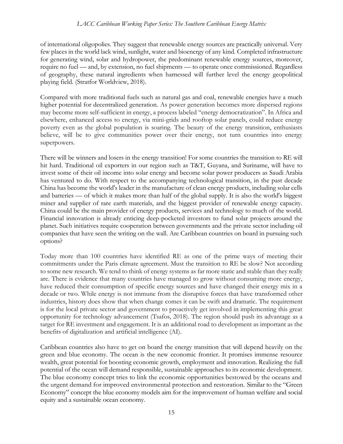of international oligopolies. They suggest that renewable energy sources are practically universal. Very few places in the world lack wind, sunlight, water and bioenergy of any kind. Completed infrastructure for generating wind, solar and hydropower, the predominant renewable energy sources, moreover, require no fuel — and, by extension, no fuel shipments — to operate once commissioned. Regardless of geography, these natural ingredients when harnessed will further level the energy geopolitical playing field. (Stratfor Worldview, 2018).

Compared with more traditional fuels such as natural gas and coal, renewable energies have a much higher potential for decentralized generation. As power generation becomes more dispersed regions may become more self-sufficient in energy, a process labeled "energy democratization". In Africa and elsewhere, enhanced access to energy, via mini-grids and rooftop solar panels, could reduce energy poverty even as the global population is soaring. The beauty of the energy transition, enthusiasts believe, will be to give communities power over their energy, not turn countries into energy superpowers.

There will be winners and losers in the energy transition! For some countries the transition to RE will hit hard. Traditional oil exporters in our region such as T&T, Guyana, and Suriname, will have to invest some of their oil income into solar energy and become solar power producers as Saudi Arabia has ventured to do. With respect to the accompanying technological transition, in the past decade China has become the world's leader in the manufacture of clean energy products, including solar cells and batteries — of which it makes more than half of the global supply. It is also the world's biggest miner and supplier of rare earth materials, and the biggest provider of renewable energy capacity. China could be the main provider of energy products, services and technology to much of the world. Financial innovation is already enticing deep-pocketed investors to fund solar projects around the planet. Such initiatives require cooperation between governments and the private sector including oil companies that have seen the writing on the wall. Are Caribbean countries on board in pursuing such options?

Today more than 100 countries have identified RE as one of the prime ways of meeting their commitments under the Paris climate agreement. Must the transition to RE be slow? Not according to some new research. We tend to think of energy systems as far more static and stable than they really are. There is evidence that many countries have managed to grow without consuming more energy, have reduced their consumption of specific energy sources and have changed their energy mix in a decade or two. While energy is not immune from the disruptive forces that have transformed other industries, history does show that when change comes it can be swift and dramatic. The requirement is for the local private sector and government to proactively get involved in implementing this great opportunity for technology advancement (Tsafos, 2018). The region should push its advantage as a target for RE investment and engagement. It is an additional road to development as important as the benefits of digitalization and artificial intelligence (AI).

Caribbean countries also have to get on board the energy transition that will depend heavily on the green and blue economy. The ocean is the new economic frontier. It promises immense resource wealth, great potential for boosting economic growth, employment and innovation. Realizing the full potential of the ocean will demand responsible, sustainable approaches to its economic development. The blue economy concept tries to link the economic opportunities bestowed by the oceans and the urgent demand for improved environmental protection and restoration. Similar to the "Green Economy" concept the blue economy models aim for the improvement of human welfare and social equity and a sustainable ocean economy.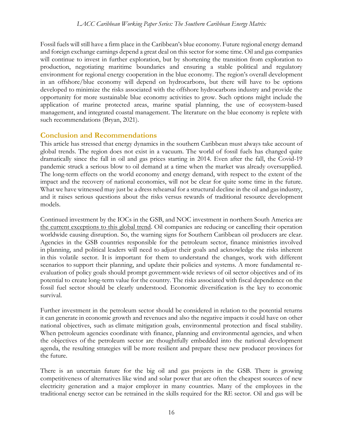Fossil fuels will still have a firm place in the Caribbean's blue economy. Future regional energy demand and foreign exchange earnings depend a great deal on this sector for some time. Oil and gas companies will continue to invest in further exploration, but by shortening the transition from exploration to production, negotiating maritime boundaries and ensuring a stable political and regulatory environment for regional energy cooperation in the blue economy. The region's overall development in an offshore/blue economy will depend on hydrocarbons, but there will have to be options developed to minimize the risks associated with the offshore hydrocarbons industry and provide the opportunity for more sustainable blue economy activities to grow. Such options might include the application of marine protected areas, marine spatial planning, the use of ecosystem-based management, and integrated coastal management. The literature on the blue economy is replete with such recommendations (Bryan, 2021).

## **Conclusion and Recommendations**

This article has stressed that energy dynamics in the southern Caribbean must always take account of global trends. The region does not exist in a vacuum. The world of fossil fuels has changed quite dramatically since the fall in oil and gas prices starting in 2014. Even after the fall, the Covid-19 pandemic struck a serious blow to oil demand at a time when the market was already oversupplied. The long-term effects on the world economy and energy demand, with respect to the extent of the impact and the recovery of national economies, will not be clear for quite some time in the future. What we have witnessed may just be a dress rehearsal for a structural decline in the oil and gas industry, and it raises serious questions about the risks versus rewards of traditional resource development models.

Continued investment by the IOCs in the GSB, and NOC investment in northern South America are the current exceptions to this global trend. Oil companies are reducing or cancelling their operation worldwide causing disruption. So, the warning signs for Southern Caribbean oil producers are clear. Agencies in the GSB countries responsible for the petroleum sector, finance ministries involved in planning, and political leaders will need to adjust their goals and acknowledge the risks inherent in this volatile sector. It is important for them to understand the changes, work with different scenarios to support their planning, and update their policies and systems. A more fundamental reevaluation of policy goals should prompt government-wide reviews of oil sector objectives and of its potential to create long-term value for the country. The risks associated with fiscal dependence on the fossil fuel sector should be clearly understood. Economic diversification is the key to economic survival.

Further investment in the petroleum sector should be considered in relation to the potential returns it can generate in economic growth and revenues and also the negative impacts it could have on other national objectives, such as climate mitigation goals, environmental protection and fiscal stability. When petroleum agencies coordinate with finance, planning and environmental agencies, and when the objectives of the petroleum sector are thoughtfully embedded into the national development agenda, the resulting strategies will be more resilient and prepare these new producer provinces for the future.

There is an uncertain future for the big oil and gas projects in the GSB. There is growing competitiveness of alternatives like wind and solar power that are often the cheapest sources of new electricity generation and a major employer in many countries. Many of the employees in the traditional energy sector can be retrained in the skills required for the RE sector. Oil and gas will be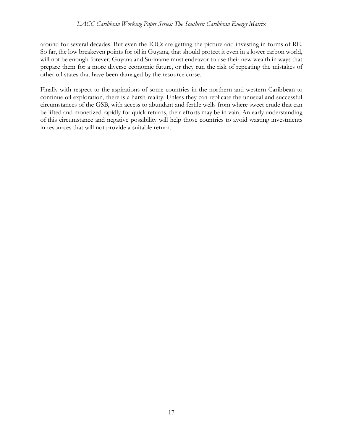around for several decades. But even the IOCs are getting the picture and investing in forms of RE. So far, the low breakeven points for oil in Guyana, that should protect it even in a lower carbon world, will not be enough forever. Guyana and Suriname must endeavor to use their new wealth in ways that prepare them for a more diverse economic future, or they run the risk of repeating the mistakes of other oil states that have been damaged by the resource curse.

Finally with respect to the aspirations of some countries in the northern and western Caribbean to continue oil exploration, there is a harsh reality. Unless they can replicate the unusual and successful circumstances of the GSB, with access to abundant and fertile wells from where sweet crude that can be lifted and monetized rapidly for quick returns, their efforts may be in vain. An early understanding of this circumstance and negative possibility will help those countries to avoid wasting investments in resources that will not provide a suitable return.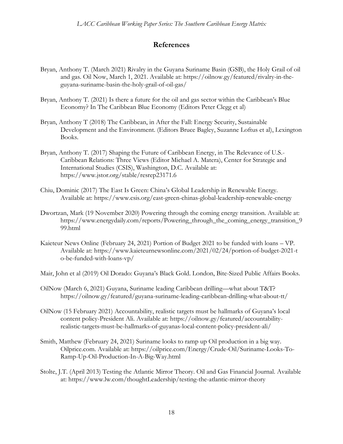## **References**

- Bryan, Anthony T. (March 2021) Rivalry in the Guyana Suriname Basin (GSB), the Holy Grail of oil and gas. Oil Now, March 1, 2021. Available at: https://oilnow.gy/featured/rivalry-in-theguyana-suriname-basin-the-holy-grail-of-oil-gas/
- Bryan, Anthony T. (2021) Is there a future for the oil and gas sector within the Caribbean's Blue Economy? In The Caribbean Blue Economy (Editors Peter Clegg et al)
- Bryan, Anthony T (2018) The Caribbean, in After the Fall: Energy Security, Sustainable Development and the Environment. (Editors Bruce Bagley, Suzanne Loftus et al), Lexington Books.
- Bryan, Anthony T. (2017) Shaping the Future of Caribbean Energy, in The Relevance of U.S.- Caribbean Relations: Three Views (Editor Michael A. Matera), Center for Strategic and International Studies (CSIS), Washington, D.C. Available at: https://www.jstor.org/stable/resrep23171.6
- Chiu, Dominic (2017) The East Is Green: China's Global Leadership in Renewable Energy. Available at: https://www.csis.org/east-green-chinas-global-leadership-renewable-energy
- Dwortzan, Mark (19 November 2020) Powering through the coming energy transition. Available at: https://www.energydaily.com/reports/Powering\_through\_the\_coming\_energy\_transition\_9 99.html
- Kaieteur News Online (February 24, 2021) Portion of Budget 2021 to be funded with loans VP. Available at: https://www.kaieteurnewsonline.com/2021/02/24/portion-of-budget-2021-t o-be-funded-with-loans-vp/
- Mair, John et al (2019) Oil Dorado: Guyana's Black Gold. London, Bite-Sized Public Affairs Books.
- OilNow (March 6, 2021) Guyana, Suriname leading Caribbean drilling—what about T&T? https://oilnow.gy/featured/guyana-suriname-leading-caribbean-drilling-what-about-tt/
- OilNow (15 February 2021) Accountability, realistic targets must be hallmarks of Guyana's local content policy-President Ali. Available at: https://oilnow.gy/featured/accountabilityrealistic-targets-must-be-hallmarks-of-guyanas-local-content-policy-president-ali/
- Smith, Matthew (February 24, 2021) Suriname looks to ramp up Oil production in a big way. Oilprice.com. Available at: https://oilprice.com/Energy/Crude-Oil/Suriname-Looks-To-Ramp-Up-Oil-Production-In-A-Big-Way.html
- Stolte, J.T. (April 2013) Testing the Atlantic Mirror Theory. Oil and Gas Financial Journal. Available at: https://www.lw.com/thoughtLeadership/testing-the-atlantic-mirror-theory